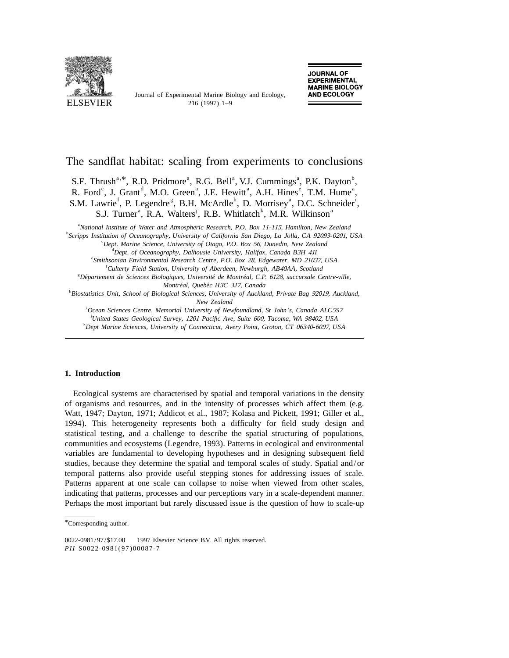

Journal of Experimental Marine Biology and Ecology,



# The sandflat habitat: scaling from experiments to conclusions

S.F. Thrush<sup>a,\*</sup>, R.D. Pridmore<sup>a</sup>, R.G. Bell<sup>a</sup>, V.J. Cummings<sup>a</sup>, P.K. Dayton<sup>b</sup>, R. Ford<sup>c</sup>, J. Grant<sup>d</sup>, M.O. Green<sup>a</sup>, J.E. Hewitt<sup>a</sup>, A.H. Hines<sup>e</sup>, T.M. Hume<sup>a</sup>, S.M. Lawrie<sup>f</sup>, P. Legendre<sup>g</sup>, B.H. McArdle<sup>h</sup>, D. Morrisey<sup>a</sup>, D.C. Schneider<sup>1</sup>, S.J. Turner<sup>a</sup>, R.A. Walters<sup>i</sup>, R.B. Whitlatch<sup>k</sup>, M.R. Wilkinson<sup>a</sup>

a *National Institute of Water and Atmospheric Research*, *P*.*O*. *Box* <sup>11</sup>-115, *Hamilton*, *New Zealand* b *Scripps Institution of Oceanography*, *University of California San Diego*, *La Jolla*, *CA* <sup>92093</sup>-0201, *USA*

c *Dept*. *Marine Science*, *University of Otago*, *P*.*O*. *Box* 56, *Dunedin*, *New Zealand*

d *Dept*. *of Oceanography*, *Dalhousie University*, *Halifax*, *Canada B*3*H* <sup>4</sup>*JI*

e *Smithsonian Environmental Research Centre*, *P*.*O*. *Box* 28, *Edgewater*, *MD* 21037, *USA*

f *Culterty Field Station*, *University of Aberdeen*, *Newburgh*, *AB*40*AA*, *Scotland*

g *Departement de Sciences Biologiques ´ ´´* , *Universite de Montreal*, *C*.*P*. 6128, *succursale Centre*-*ville*, *Montreal ´ ´* , *Quebec H*3*C* <sup>3</sup>*J*7, *Canada*

h *Biostatistics Unit*, *School of Biological Sciences*, *University of Auckland*, *Private Bag* 92019, *Auckland*, *New Zealand*

i *Ocean Sciences Centre*, *Memorial University of Newfoundland*, *St John*'*s*, *Canada ALC*5*S*<sup>7</sup> j *United States Geological Survey*, <sup>1201</sup> *Pacific Ave*, *Suite* 600, *Tacoma*, *WA* 98402, *USA*

k *Dept Marine Sciences*, *University of Connecticut*, *Avery Point*, *Groton*, *CT* <sup>06340</sup>-6097, *USA*

## **1. Introduction**

Ecological systems are characterised by spatial and temporal variations in the density of organisms and resources, and in the intensity of processes which affect them (e.g. Watt, 1947; Dayton, 1971; Addicot et al., 1987; Kolasa and Pickett, 1991; Giller et al., 1994). This heterogeneity represents both a difficulty for field study design and statistical testing, and a challenge to describe the spatial structuring of populations, communities and ecosystems (Legendre, 1993). Patterns in ecological and environmental variables are fundamental to developing hypotheses and in designing subsequent field studies, because they determine the spatial and temporal scales of study. Spatial and/or temporal patterns also provide useful stepping stones for addressing issues of scale. Patterns apparent at one scale can collapse to noise when viewed from other scales, indicating that patterns, processes and our perceptions vary in a scale-dependent manner. Perhaps the most important but rarely discussed issue is the question of how to scale-up

<sup>\*</sup>Corresponding author.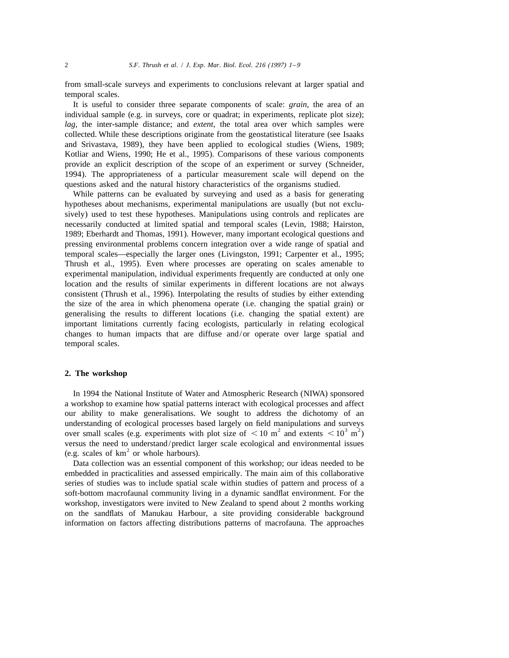from small-scale surveys and experiments to conclusions relevant at larger spatial and temporal scales.

It is useful to consider three separate components of scale: *grain*, the area of an individual sample (e.g. in surveys, core or quadrat; in experiments, replicate plot size); *lag*, the inter-sample distance; and *extent*, the total area over which samples were collected. While these descriptions originate from the geostatistical literature (see Isaaks and Srivastava, 1989), they have been applied to ecological studies (Wiens, 1989; Kotliar and Wiens, 1990; He et al., 1995). Comparisons of these various components provide an explicit description of the scope of an experiment or survey (Schneider, 1994). The appropriateness of a particular measurement scale will depend on the questions asked and the natural history characteristics of the organisms studied.

While patterns can be evaluated by surveying and used as a basis for generating hypotheses about mechanisms, experimental manipulations are usually (but not exclusively) used to test these hypotheses. Manipulations using controls and replicates are necessarily conducted at limited spatial and temporal scales (Levin, 1988; Hairston, 1989; Eberhardt and Thomas, 1991). However, many important ecological questions and pressing environmental problems concern integration over a wide range of spatial and temporal scales—especially the larger ones (Livingston, 1991; Carpenter et al., 1995; Thrush et al., 1995). Even where processes are operating on scales amenable to experimental manipulation, individual experiments frequently are conducted at only one location and the results of similar experiments in different locations are not always consistent (Thrush et al., 1996). Interpolating the results of studies by either extending the size of the area in which phenomena operate (i.e. changing the spatial grain) or generalising the results to different locations (i.e. changing the spatial extent) are important limitations currently facing ecologists, particularly in relating ecological changes to human impacts that are diffuse and/or operate over large spatial and temporal scales.

#### **2. The workshop**

In 1994 the National Institute of Water and Atmospheric Research (NIWA) sponsored a workshop to examine how spatial patterns interact with ecological processes and affect our ability to make generalisations. We sought to address the dichotomy of an understanding of ecological processes based largely on field manipulations and surveys over small scales (e.g. experiments with plot size of  $\langle 10 \text{ m}^2 \rangle$  and extents  $\langle 10^3 \text{ m}^2 \rangle$ versus the need to understand/predict larger scale ecological and environmental issues (e.g. scales of  $km<sup>2</sup>$  or whole harbours).

Data collection was an essential component of this workshop; our ideas needed to be embedded in practicalities and assessed empirically. The main aim of this collaborative series of studies was to include spatial scale within studies of pattern and process of a soft-bottom macrofaunal community living in a dynamic sandflat environment. For the workshop, investigators were invited to New Zealand to spend about 2 months working on the sandflats of Manukau Harbour, a site providing considerable background information on factors affecting distributions patterns of macrofauna. The approaches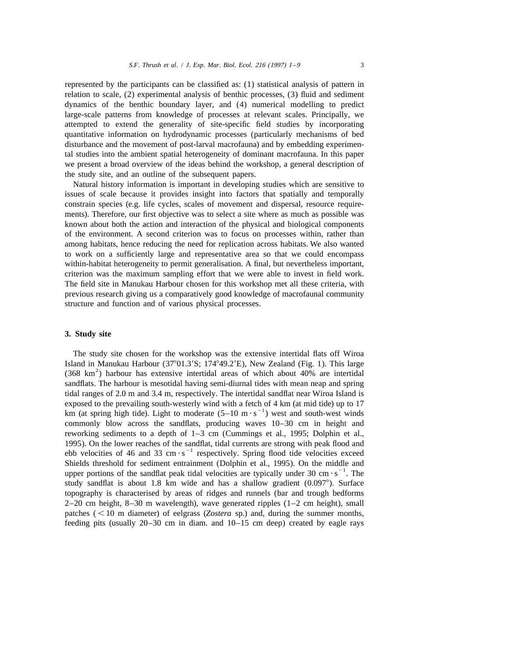represented by the participants can be classified as: (1) statistical analysis of pattern in relation to scale, (2) experimental analysis of benthic processes, (3) fluid and sediment dynamics of the benthic boundary layer, and (4) numerical modelling to predict large-scale patterns from knowledge of processes at relevant scales. Principally, we attempted to extend the generality of site-specific field studies by incorporating quantitative information on hydrodynamic processes (particularly mechanisms of bed disturbance and the movement of post-larval macrofauna) and by embedding experimental studies into the ambient spatial heterogeneity of dominant macrofauna. In this paper we present a broad overview of the ideas behind the workshop, a general description of the study site, and an outline of the subsequent papers.

Natural history information is important in developing studies which are sensitive to issues of scale because it provides insight into factors that spatially and temporally constrain species (e.g. life cycles, scales of movement and dispersal, resource requirements). Therefore, our first objective was to select a site where as much as possible was known about both the action and interaction of the physical and biological components of the environment. A second criterion was to focus on processes within, rather than among habitats, hence reducing the need for replication across habitats. We also wanted to work on a sufficiently large and representative area so that we could encompass within-habitat heterogeneity to permit generalisation. A final, but nevertheless important, criterion was the maximum sampling effort that we were able to invest in field work. The field site in Manukau Harbour chosen for this workshop met all these criteria, with previous research giving us a comparatively good knowledge of macrofaunal community structure and function and of various physical processes.

### **3. Study site**

The study site chosen for the workshop was the extensive intertidal flats off Wiroa Island in Manukau Harbour (37°01.3′S; 174°49.2′E), New Zealand (Fig. 1). This large (368 km<sup>2</sup>) harbour has extensive intertidal areas of which about 40% are intertidal sandflats. The harbour is mesotidal having semi-diurnal tides with mean neap and spring tidal ranges of 2.0 m and 3.4 m, respectively. The intertidal sandflat near Wiroa Island is exposed to the prevailing south-westerly wind with a fetch of 4 km (at mid tide) up to 17 km (at spring high tide). Light to moderate  $(5-10 \text{ m} \cdot \text{s}^{-1})$  west and south-west winds commonly blow across the sandflats, producing waves 10–30 cm in height and reworking sediments to a depth of 1–3 cm (Cummings et al., 1995; Dolphin et al., 1995). On the lower reaches of the sandflat, tidal currents are strong with peak flood and ebb velocities of 46 and 33 cm  $\cdot$  s<sup>-1</sup> respectively. Spring flood tide velocities exceed Shields threshold for sediment entrainment (Dolphin et al., 1995). On the middle and upper portions of the sandflat peak tidal velocities are typically under 30 cm  $\cdot$  s<sup>-1</sup>. The study sandflat is about 1.8 km wide and has a shallow gradient  $(0.097^{\circ})$ . Surface topography is characterised by areas of ridges and runnels (bar and trough bedforms  $2-20$  cm height,  $8-30$  m wavelength), wave generated ripples  $(1-2 \text{ cm height})$ , small patches  $(< 10$  m diameter) of eelgrass (*Zostera* sp.) and, during the summer months, feeding pits (usually 20–30 cm in diam. and 10–15 cm deep) created by eagle rays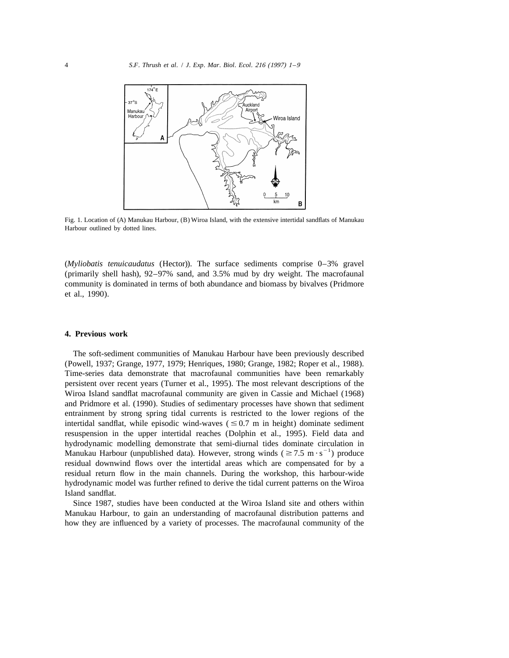

Fig. 1. Location of (A) Manukau Harbour, (B) Wiroa Island, with the extensive intertidal sandflats of Manukau Harbour outlined by dotted lines.

(*Myliobatis tenuicaudatus* (Hector)). The surface sediments comprise 0–3% gravel (primarily shell hash), 92–97% sand, and 3.5% mud by dry weight. The macrofaunal community is dominated in terms of both abundance and biomass by bivalves (Pridmore et al., 1990).

## **4. Previous work**

The soft-sediment communities of Manukau Harbour have been previously described (Powell, 1937; Grange, 1977, 1979; Henriques, 1980; Grange, 1982; Roper et al., 1988). Time-series data demonstrate that macrofaunal communities have been remarkably persistent over recent years (Turner et al., 1995). The most relevant descriptions of the Wiroa Island sandflat macrofaunal community are given in Cassie and Michael (1968) and Pridmore et al. (1990). Studies of sedimentary processes have shown that sediment entrainment by strong spring tidal currents is restricted to the lower regions of the intertidal sandflat, while episodic wind-waves  $( \leq 0.7 \text{ m}$  in height) dominate sediment resuspension in the upper intertidal reaches (Dolphin et al., 1995). Field data and hydrodynamic modelling demonstrate that semi-diurnal tides dominate circulation in Manukau Harbour (unpublished data). However, strong winds ( $\geq 7.5$  m·s<sup>-1</sup>) produce residual downwind flows over the intertidal areas which are compensated for by a residual return flow in the main channels. During the workshop, this harbour-wide hydrodynamic model was further refined to derive the tidal current patterns on the Wiroa Island sandflat.

Since 1987, studies have been conducted at the Wiroa Island site and others within Manukau Harbour, to gain an understanding of macrofaunal distribution patterns and how they are influenced by a variety of processes. The macrofaunal community of the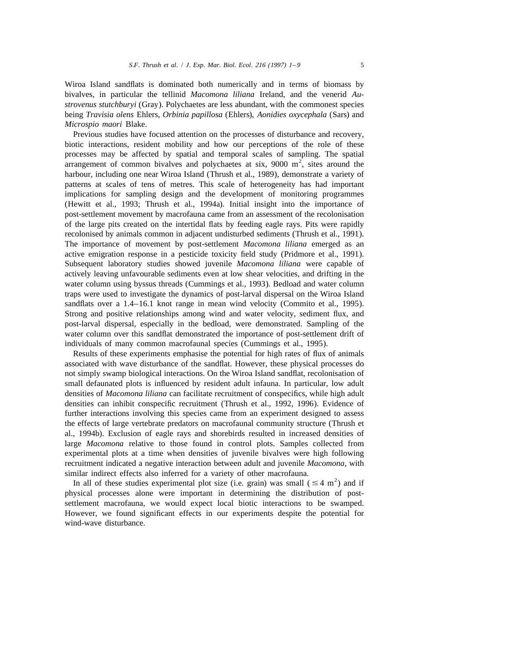Wiroa Island sandflats is dominated both numerically and in terms of biomass by bivalves, in particular the tellinid *Macomona liliana* Ireland, and the venerid *Austrovenus stutchburyi* (Gray). Polychaetes are less abundant, with the commonest species being *Travisia olens* Ehlers, *Orbinia papillosa* (Ehlers), *Aonidies oxycephala* (Sars) and *Microspio maori* Blake.

Previous studies have focused attention on the processes of disturbance and recovery, biotic interactions, resident mobility and how our perceptions of the role of these processes may be affected by spatial and temporal scales of sampling. The spatial arrangement of common bivalves and polychaetes at six,  $9000 \text{ m}^2$ , sites around the harbour, including one near Wiroa Island (Thrush et al., 1989), demonstrate a variety of patterns at scales of tens of metres. This scale of heterogeneity has had important implications for sampling design and the development of monitoring programmes (Hewitt et al., 1993; Thrush et al., 1994a). Initial insight into the importance of post-settlement movement by macrofauna came from an assessment of the recolonisation of the large pits created on the intertidal flats by feeding eagle rays. Pits were rapidly recolonised by animals common in adjacent undisturbed sediments (Thrush et al., 1991). The importance of movement by post-settlement *Macomona liliana* emerged as an active emigration response in a pesticide toxicity field study (Pridmore et al., 1991). Subsequent laboratory studies showed juvenile *Macomona liliana* were capable of actively leaving unfavourable sediments even at low shear velocities, and drifting in the water column using byssus threads (Cummings et al., 1993). Bedload and water column traps were used to investigate the dynamics of post-larval dispersal on the Wiroa Island sandflats over a 1.4–16.1 knot range in mean wind velocity (Commito et al., 1995). Strong and positive relationships among wind and water velocity, sediment flux, and post-larval dispersal, especially in the bedload, were demonstrated. Sampling of the water column over this sandflat demonstrated the importance of post-settlement drift of individuals of many common macrofaunal species (Cummings et al., 1995).

Results of these experiments emphasise the potential for high rates of flux of animals associated with wave disturbance of the sandflat. However, these physical processes do not simply swamp biological interactions. On the Wiroa Island sandflat, recolonisation of small defaunated plots is influenced by resident adult infauna. In particular, low adult densities of *Macomona liliana* can facilitate recruitment of conspecifics, while high adult densities can inhibit conspecific recruitment (Thrush et al., 1992, 1996). Evidence of further interactions involving this species came from an experiment designed to assess the effects of large vertebrate predators on macrofaunal community structure (Thrush et al., 1994b). Exclusion of eagle rays and shorebirds resulted in increased densities of large *Macomona* relative to those found in control plots. Samples collected from experimental plots at a time when densities of juvenile bivalves were high following recruitment indicated a negative interaction between adult and juvenile *Macomona*, with similar indirect effects also inferred for a variety of other macrofauna.<br>In all of these studies experimental plot size (i.e. grain) was small ( $\leq 4$  m<sup>2</sup>) and if

physical processes alone were important in determining the distribution of postsettlement macrofauna, we would expect local biotic interactions to be swamped. However, we found significant effects in our experiments despite the potential for wind-wave disturbance.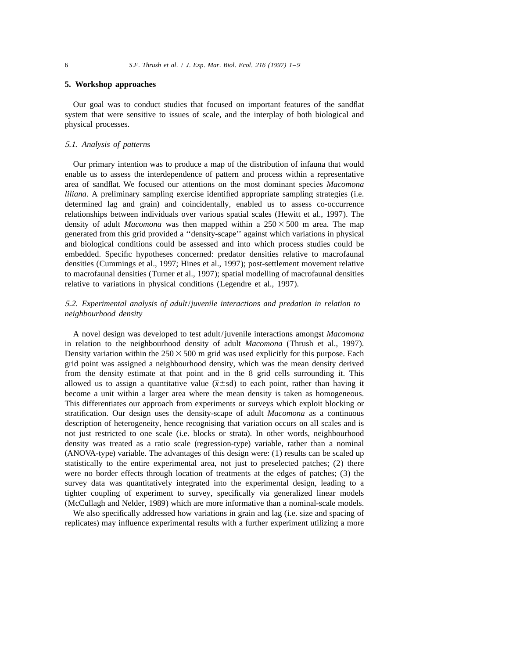#### **5. Workshop approaches**

Our goal was to conduct studies that focused on important features of the sandflat system that were sensitive to issues of scale, and the interplay of both biological and physical processes.

## 5.1. *Analysis of patterns*

Our primary intention was to produce a map of the distribution of infauna that would enable us to assess the interdependence of pattern and process within a representative area of sandflat. We focused our attentions on the most dominant species *Macomona liliana*. A preliminary sampling exercise identified appropriate sampling strategies (i.e. determined lag and grain) and coincidentally, enabled us to assess co-occurrence relationships between individuals over various spatial scales (Hewitt et al., 1997). The density of adult *Macomona* was then mapped within a  $250 \times 500$  m area. The map generated from this grid provided a ''density-scape'' against which variations in physical and biological conditions could be assessed and into which process studies could be embedded. Specific hypotheses concerned: predator densities relative to macrofaunal densities (Cummings et al., 1997; Hines et al., 1997); post-settlement movement relative to macrofaunal densities (Turner et al., 1997); spatial modelling of macrofaunal densities relative to variations in physical conditions (Legendre et al., 1997).

## 5.2. *Experimental analysis of adult*/*juvenile interactions and predation in relation to neighbourhood density*

A novel design was developed to test adult/juvenile interactions amongst *Macomona* in relation to the neighbourhood density of adult *Macomona* (Thrush et al., 1997). Density variation within the  $250 \times 500$  m grid was used explicitly for this purpose. Each grid point was assigned a neighbourhood density, which was the mean density derived from the density estimate at that point and in the 8 grid cells surrounding it. This allowed us to assign a quantitative value ( $\bar{x} \pm sd$ ) to each point, rather than having it become a unit within a larger area where the mean density is taken as homogeneous. This differentiates our approach from experiments or surveys which exploit blocking or stratification. Our design uses the density-scape of adult *Macomona* as a continuous description of heterogeneity, hence recognising that variation occurs on all scales and is not just restricted to one scale (i.e. blocks or strata). In other words, neighbourhood density was treated as a ratio scale (regression-type) variable, rather than a nominal (ANOVA-type) variable. The advantages of this design were: (1) results can be scaled up statistically to the entire experimental area, not just to preselected patches; (2) there were no border effects through location of treatments at the edges of patches; (3) the survey data was quantitatively integrated into the experimental design, leading to a tighter coupling of experiment to survey, specifically via generalized linear models (McCullagh and Nelder, 1989) which are more informative than a nominal-scale models.

We also specifically addressed how variations in grain and lag (i.e. size and spacing of replicates) may influence experimental results with a further experiment utilizing a more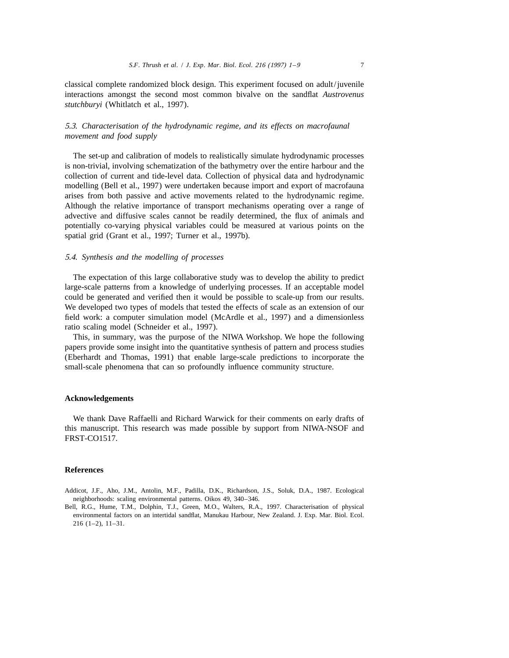classical complete randomized block design. This experiment focused on adult/juvenile interactions amongst the second most common bivalve on the sandflat *Austrovenus stutchburyi* (Whitlatch et al., 1997).

## 5.3. *Characterisation of the hydrodynamic regime*, *and its effects on macrofaunal movement and food supply*

The set-up and calibration of models to realistically simulate hydrodynamic processes is non-trivial, involving schematization of the bathymetry over the entire harbour and the collection of current and tide-level data. Collection of physical data and hydrodynamic modelling (Bell et al., 1997) were undertaken because import and export of macrofauna arises from both passive and active movements related to the hydrodynamic regime. Although the relative importance of transport mechanisms operating over a range of advective and diffusive scales cannot be readily determined, the flux of animals and potentially co-varying physical variables could be measured at various points on the spatial grid (Grant et al., 1997; Turner et al., 1997b).

### 5.4. *Synthesis and the modelling of processes*

The expectation of this large collaborative study was to develop the ability to predict large-scale patterns from a knowledge of underlying processes. If an acceptable model could be generated and verified then it would be possible to scale-up from our results. We developed two types of models that tested the effects of scale as an extension of our field work: a computer simulation model (McArdle et al., 1997) and a dimensionless ratio scaling model (Schneider et al., 1997).

This, in summary, was the purpose of the NIWA Workshop. We hope the following papers provide some insight into the quantitative synthesis of pattern and process studies (Eberhardt and Thomas, 1991) that enable large-scale predictions to incorporate the small-scale phenomena that can so profoundly influence community structure.

#### **Acknowledgements**

We thank Dave Raffaelli and Richard Warwick for their comments on early drafts of this manuscript. This research was made possible by support from NIWA-NSOF and FRST-CO1517.

#### **References**

- Addicot, J.F., Aho, J.M., Antolin, M.F., Padilla, D.K., Richardson, J.S., Soluk, D.A., 1987. Ecological neighborhoods: scaling environmental patterns. Oikos 49, 340–346.
- Bell, R.G., Hume, T.M., Dolphin, T.J., Green, M.O., Walters, R.A., 1997. Characterisation of physical environmental factors on an intertidal sandflat, Manukau Harbour, New Zealand. J. Exp. Mar. Biol. Ecol. 216 (1–2), 11–31.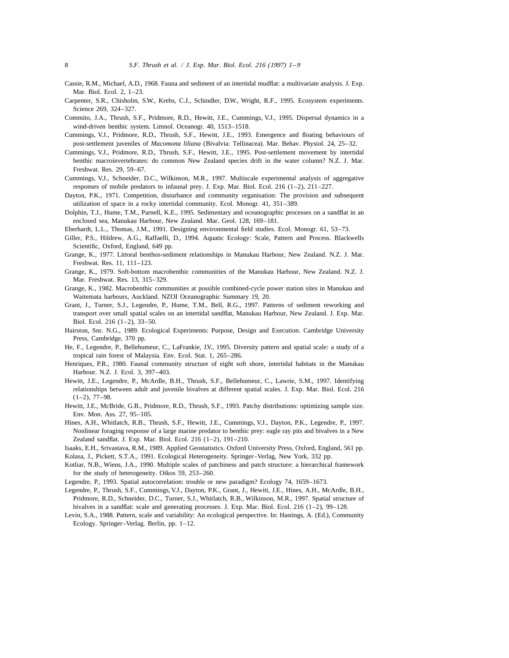- Cassie, R.M., Michael, A.D., 1968. Fauna and sediment of an intertidal mudflat: a multivariate analysis. J. Exp. Mar. Biol. Ecol. 2, 1–23.
- Carpenter, S.R., Chisholm, S.W., Krebs, C.J., Schindler, D.W., Wright, R.F., 1995. Ecosystem experiments. Science 269, 324–327.
- Commito, J.A., Thrush, S.F., Pridmore, R.D., Hewitt, J.E., Cummings, V.J., 1995. Dispersal dynamics in a wind-driven benthic system. Limnol. Oceanogr. 40, 1513–1518.
- Cummings, V.J., Pridmore, R.D., Thrush, S.F., Hewitt, J.E., 1993. Emergence and floating behaviours of post-settlement juveniles of *Macomona liliana* (Bivalvia: Tellinacea). Mar. Behav. Physiol. 24, 25–32.
- Cummings, V.J., Pridmore, R.D., Thrush, S.F., Hewitt, J.E., 1995. Post-settlement movement by intertidal benthic macroinvertebrates: do common New Zealand species drift in the water column? N.Z. J. Mar. Freshwat. Res. 29, 59–67.
- Cummings, V.J., Schneider, D.C., Wilkinson, M.R., 1997. Multiscale experimental analysis of aggregative responses of mobile predators to infaunal prey. J. Exp. Mar. Biol. Ecol. 216 (1–2), 211–227.
- Dayton, P.K., 1971. Competition, disturbance and community organisation: The provision and subsequent utilization of space in a rocky intertidal community. Ecol. Monogr. 41, 351–389.
- Dolphin, T.J., Hume, T.M., Parnell, K.E., 1995. Sedimentary and oceanographic processes on a sandflat in an enclosed sea, Manukau Harbour, New Zealand. Mar. Geol. 128, 169–181.
- Eberhardt, L.L., Thomas, J.M., 1991. Designing environmental field studies. Ecol. Monogr. 61, 53–73.
- Giller, P.S., Hildrew, A.G., Raffaelli, D., 1994. Aquatic Ecology: Scale, Pattern and Process. Blackwells Scientific, Oxford, England, 649 pp.
- Grange, K., 1977. Littoral benthos-sediment relationships in Manukau Harbour, New Zealand. N.Z. J. Mar. Freshwat. Res. 11, 111–123.
- Grange, K., 1979. Soft-bottom macrobenthic communities of the Manukau Harbour, New Zealand. N.Z. J. Mar. Freshwat. Res. 13, 315–329.
- Grange, K., 1982. Macrobenthic communities at possible combined-cycle power station sites in Manukau and Waitemata harbours, Auckland. NZOI Oceanographic Summary 19, 20.
- Grant, J., Turner, S.J., Legendre, P., Hume, T.M., Bell, R.G., 1997. Patterns of sediment reworking and transport over small spatial scales on an intertidal sandflat, Manukau Harbour, New Zealand. J. Exp. Mar. Biol. Ecol. 216 (1–2), 33–50.
- Hairston, Snr. N.G., 1989. Ecological Experiments: Purpose, Design and Execution. Cambridge University Press, Cambridge, 370 pp.
- He, F., Legendre, P., Bellehumeur, C., LaFrankie, J.V., 1995. Diversity pattern and spatial scale: a study of a tropical rain forest of Malaysia. Env. Ecol. Stat. 1, 265–286.
- Henriques, P.R., 1980. Faunal community structure of eight soft shore, intertidal habitats in the Manukau Harbour. N.Z. J. Ecol. 3, 397–403.
- Hewitt, J.E., Legendre, P., McArdle, B.H., Thrush, S.F., Bellehumeur, C., Lawrie, S.M., 1997. Identifying relationships between adult and juvenile bivalves at different spatial scales. J. Exp. Mar. Biol. Ecol. 216  $(1-2)$ , 77-98.
- Hewitt, J.E., McBride, G.B., Pridmore, R.D., Thrush, S.F., 1993. Patchy distributions: optimizing sample size. Env. Mon. Ass. 27, 95–105.
- Hines, A.H., Whitlatch, R.B., Thrush, S.F., Hewitt, J.E., Cummings, V.J., Dayton, P.K., Legendre, P., 1997. Nonlinear foraging response of a large marine predator to benthic prey: eagle ray pits and bivalves in a New Zealand sandflat. J. Exp. Mar. Biol. Ecol. 216 (1–2), 191–210.
- Isaaks, E.H., Srivastava, R.M., 1989. Applied Geostatistics. Oxford University Press, Oxford, England, 561 pp.
- Kolasa, J., Pickett, S.T.A., 1991. Ecological Heterogeneity. Springer–Verlag, New York, 332 pp.
- Kotliar, N.B., Wiens, J.A., 1990. Multiple scales of patchiness and patch structure: a hierarchical framework for the study of heterogeneity. Oikos 59, 253–260.
- Legendre, P., 1993. Spatial autocorrelation: trouble or new paradigm? Ecology 74, 1659–1673.
- Legendre, P., Thrush, S.F., Cummings, V.J., Dayton, P.K., Grant, J., Hewitt, J.E., Hines, A.H., McArdle, B.H., Pridmore, R.D., Schneider, D.C., Turner, S.J., Whitlatch, R.B., Wilkinson, M.R., 1997. Spatial structure of bivalves in a sandflat: scale and generating processes. J. Exp. Mar. Biol. Ecol. 216 (1–2), 99–128.
- Levin, S.A., 1988. Pattern, scale and variability: An ecological perspective. In: Hastings, A. (Ed.), Community Ecology. Springer–Verlag. Berlin, pp. 1–12.